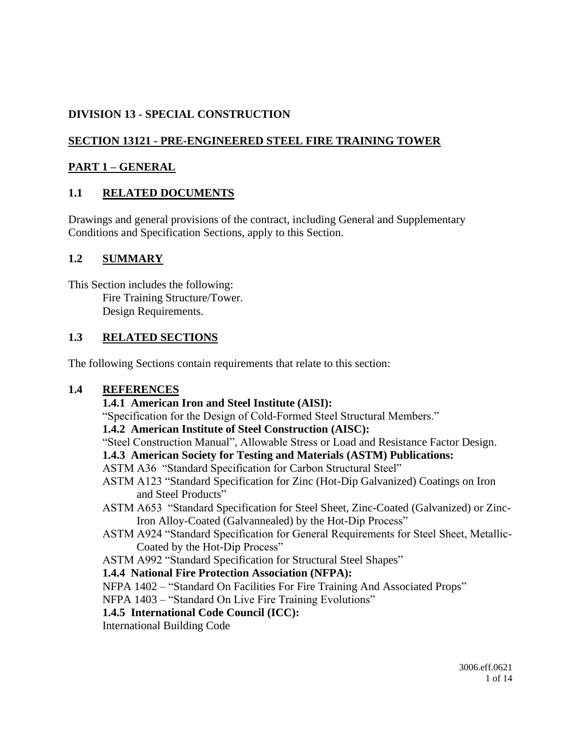### **DIVISION 13 - SPECIAL CONSTRUCTION**

# **SECTION 13121 - PRE-ENGINEERED STEEL FIRE TRAINING TOWER**

### **PART 1 – GENERAL**

### **1.1 RELATED DOCUMENTS**

Drawings and general provisions of the contract, including General and Supplementary Conditions and Specification Sections, apply to this Section.

#### **1.2 SUMMARY**

This Section includes the following: Fire Training Structure/Tower. Design Requirements.

#### **1.3 RELATED SECTIONS**

The following Sections contain requirements that relate to this section:

#### **1.4 REFERENCES**

#### **1.4.1 American Iron and Steel Institute (AISI):**

"Specification for the Design of Cold-Formed Steel Structural Members."

#### **1.4.2 American Institute of Steel Construction (AISC):**

"Steel Construction Manual", Allowable Stress or Load and Resistance Factor Design.

#### **1.4.3 American Society for Testing and Materials (ASTM) Publications:**

- ASTM A36 "Standard Specification for Carbon Structural Steel"
- ASTM A123 "Standard Specification for Zinc (Hot-Dip Galvanized) Coatings on Iron and Steel Products"
- ASTM A653 "Standard Specification for Steel Sheet, Zinc-Coated (Galvanized) or Zinc-Iron Alloy-Coated (Galvannealed) by the Hot-Dip Process"
- ASTM A924 "Standard Specification for General Requirements for Steel Sheet, Metallic-Coated by the Hot-Dip Process"

ASTM A992 "Standard Specification for Structural Steel Shapes"

#### **1.4.4 National Fire Protection Association (NFPA):**

NFPA 1402 – "Standard On Facilities For Fire Training And Associated Props"

NFPA 1403 – "Standard On Live Fire Training Evolutions"

#### **1.4.5 International Code Council (ICC):**

International Building Code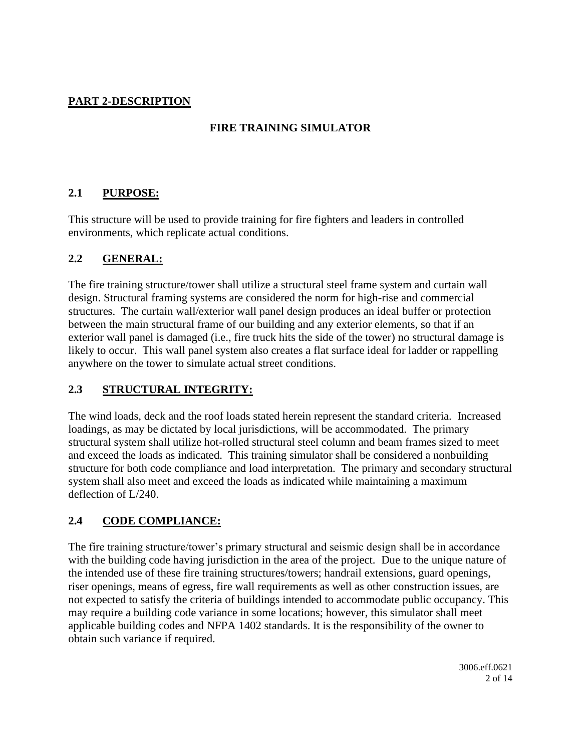# **PART 2-DESCRIPTION**

### **FIRE TRAINING SIMULATOR**

#### **2.1 PURPOSE:**

This structure will be used to provide training for fire fighters and leaders in controlled environments, which replicate actual conditions.

#### **2.2 GENERAL:**

The fire training structure/tower shall utilize a structural steel frame system and curtain wall design. Structural framing systems are considered the norm for high-rise and commercial structures. The curtain wall/exterior wall panel design produces an ideal buffer or protection between the main structural frame of our building and any exterior elements, so that if an exterior wall panel is damaged (i.e., fire truck hits the side of the tower) no structural damage is likely to occur. This wall panel system also creates a flat surface ideal for ladder or rappelling anywhere on the tower to simulate actual street conditions.

#### **2.3 STRUCTURAL INTEGRITY:**

The wind loads, deck and the roof loads stated herein represent the standard criteria. Increased loadings, as may be dictated by local jurisdictions, will be accommodated. The primary structural system shall utilize hot-rolled structural steel column and beam frames sized to meet and exceed the loads as indicated. This training simulator shall be considered a nonbuilding structure for both code compliance and load interpretation. The primary and secondary structural system shall also meet and exceed the loads as indicated while maintaining a maximum deflection of L/240.

### **2.4 CODE COMPLIANCE:**

The fire training structure/tower's primary structural and seismic design shall be in accordance with the building code having jurisdiction in the area of the project. Due to the unique nature of the intended use of these fire training structures/towers; handrail extensions, guard openings, riser openings, means of egress, fire wall requirements as well as other construction issues, are not expected to satisfy the criteria of buildings intended to accommodate public occupancy. This may require a building code variance in some locations; however, this simulator shall meet applicable building codes and NFPA 1402 standards. It is the responsibility of the owner to obtain such variance if required.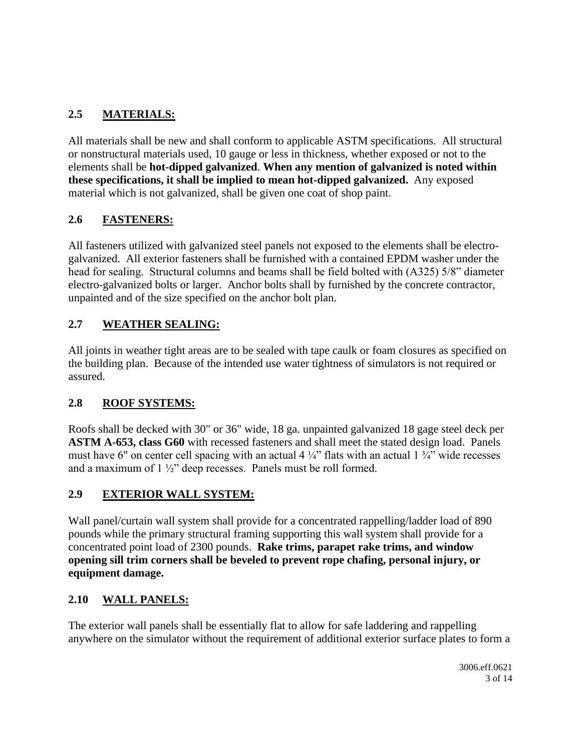# **2.5 MATERIALS:**

All materials shall be new and shall conform to applicable ASTM specifications. All structural or nonstructural materials used, 10 gauge or less in thickness, whether exposed or not to the elements shall be **hot-dipped galvanized**. **When any mention of galvanized is noted within these specifications, it shall be implied to mean hot-dipped galvanized.** Any exposed material which is not galvanized, shall be given one coat of shop paint.

### **2.6 FASTENERS:**

All fasteners utilized with galvanized steel panels not exposed to the elements shall be electrogalvanized. All exterior fasteners shall be furnished with a contained EPDM washer under the head for sealing. Structural columns and beams shall be field bolted with (A325) 5/8" diameter electro-galvanized bolts or larger. Anchor bolts shall by furnished by the concrete contractor, unpainted and of the size specified on the anchor bolt plan.

# **2.7 WEATHER SEALING:**

All joints in weather tight areas are to be sealed with tape caulk or foam closures as specified on the building plan. Because of the intended use water tightness of simulators is not required or assured.

### **2.8 ROOF SYSTEMS:**

Roofs shall be decked with 30" or 36" wide, 18 ga. unpainted galvanized 18 gage steel deck per **ASTM A-653, class G60** with recessed fasteners and shall meet the stated design load. Panels must have 6" on center cell spacing with an actual 4  $\frac{1}{4}$ " flats with an actual 1  $\frac{3}{4}$ " wide recesses and a maximum of 1 ½" deep recesses. Panels must be roll formed.

### **2.9 EXTERIOR WALL SYSTEM:**

Wall panel/curtain wall system shall provide for a concentrated rappelling/ladder load of 890 pounds while the primary structural framing supporting this wall system shall provide for a concentrated point load of 2300 pounds. **Rake trims, parapet rake trims, and window opening sill trim corners shall be beveled to prevent rope chafing, personal injury, or equipment damage.**

### **2.10 WALL PANELS:**

The exterior wall panels shall be essentially flat to allow for safe laddering and rappelling anywhere on the simulator without the requirement of additional exterior surface plates to form a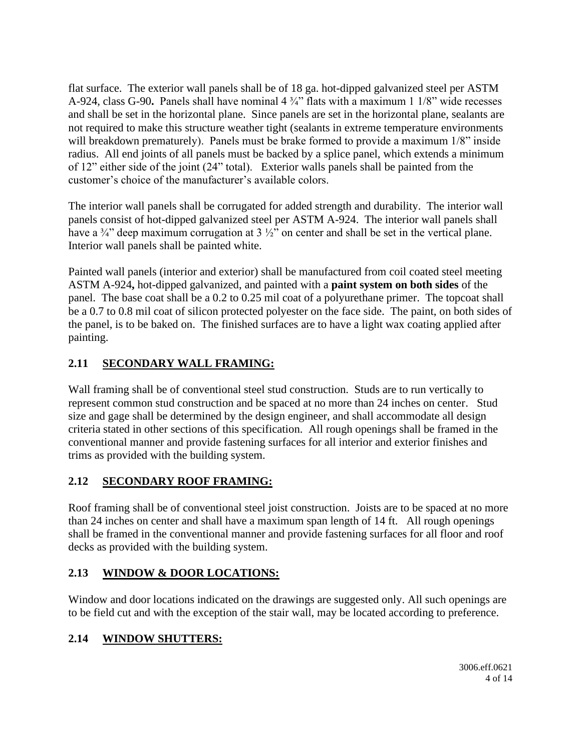flat surface. The exterior wall panels shall be of 18 ga. hot-dipped galvanized steel per ASTM A-924, class G-90**.** Panels shall have nominal 4 ¾" flats with a maximum 1 1/8" wide recesses and shall be set in the horizontal plane. Since panels are set in the horizontal plane, sealants are not required to make this structure weather tight (sealants in extreme temperature environments will breakdown prematurely). Panels must be brake formed to provide a maximum 1/8" inside radius. All end joints of all panels must be backed by a splice panel, which extends a minimum of 12" either side of the joint (24" total). Exterior walls panels shall be painted from the customer's choice of the manufacturer's available colors.

The interior wall panels shall be corrugated for added strength and durability. The interior wall panels consist of hot-dipped galvanized steel per ASTM A-924. The interior wall panels shall have a  $\frac{3}{4}$  deep maximum corrugation at 3  $\frac{1}{2}$  on center and shall be set in the vertical plane. Interior wall panels shall be painted white.

Painted wall panels (interior and exterior) shall be manufactured from coil coated steel meeting ASTM A-924**,** hot-dipped galvanized, and painted with a **paint system on both sides** of the panel. The base coat shall be a 0.2 to 0.25 mil coat of a polyurethane primer. The topcoat shall be a 0.7 to 0.8 mil coat of silicon protected polyester on the face side. The paint, on both sides of the panel, is to be baked on. The finished surfaces are to have a light wax coating applied after painting.

# **2.11 SECONDARY WALL FRAMING:**

Wall framing shall be of conventional steel stud construction. Studs are to run vertically to represent common stud construction and be spaced at no more than 24 inches on center. Stud size and gage shall be determined by the design engineer, and shall accommodate all design criteria stated in other sections of this specification. All rough openings shall be framed in the conventional manner and provide fastening surfaces for all interior and exterior finishes and trims as provided with the building system.

# **2.12 SECONDARY ROOF FRAMING:**

Roof framing shall be of conventional steel joist construction. Joists are to be spaced at no more than 24 inches on center and shall have a maximum span length of 14 ft. All rough openings shall be framed in the conventional manner and provide fastening surfaces for all floor and roof decks as provided with the building system.

# **2.13 WINDOW & DOOR LOCATIONS:**

Window and door locations indicated on the drawings are suggested only. All such openings are to be field cut and with the exception of the stair wall, may be located according to preference.

# **2.14 WINDOW SHUTTERS:**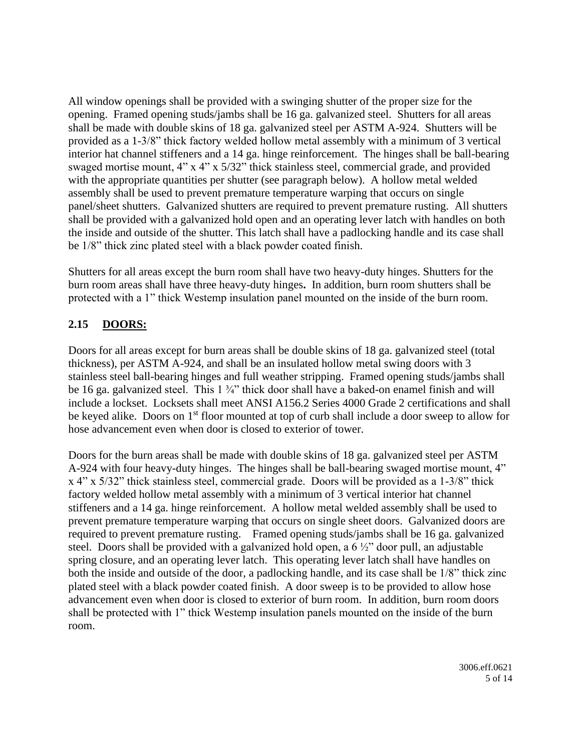All window openings shall be provided with a swinging shutter of the proper size for the opening. Framed opening studs/jambs shall be 16 ga. galvanized steel. Shutters for all areas shall be made with double skins of 18 ga. galvanized steel per ASTM A-924. Shutters will be provided as a 1-3/8" thick factory welded hollow metal assembly with a minimum of 3 vertical interior hat channel stiffeners and a 14 ga. hinge reinforcement. The hinges shall be ball-bearing swaged mortise mount, 4" x 4" x 5/32" thick stainless steel, commercial grade, and provided with the appropriate quantities per shutter (see paragraph below). A hollow metal welded assembly shall be used to prevent premature temperature warping that occurs on single panel/sheet shutters. Galvanized shutters are required to prevent premature rusting. All shutters shall be provided with a galvanized hold open and an operating lever latch with handles on both the inside and outside of the shutter. This latch shall have a padlocking handle and its case shall be 1/8" thick zinc plated steel with a black powder coated finish.

Shutters for all areas except the burn room shall have two heavy-duty hinges. Shutters for the burn room areas shall have three heavy-duty hinges**.** In addition, burn room shutters shall be protected with a 1" thick Westemp insulation panel mounted on the inside of the burn room.

#### **2.15 DOORS:**

Doors for all areas except for burn areas shall be double skins of 18 ga. galvanized steel (total thickness), per ASTM A-924, and shall be an insulated hollow metal swing doors with 3 stainless steel ball-bearing hinges and full weather stripping. Framed opening studs/jambs shall be 16 ga. galvanized steel. This 1 ¼" thick door shall have a baked-on enamel finish and will include a lockset. Locksets shall meet ANSI A156.2 Series 4000 Grade 2 certifications and shall be keyed alike. Doors on 1<sup>st</sup> floor mounted at top of curb shall include a door sweep to allow for hose advancement even when door is closed to exterior of tower.

Doors for the burn areas shall be made with double skins of 18 ga. galvanized steel per ASTM A-924 with four heavy-duty hinges. The hinges shall be ball-bearing swaged mortise mount, 4" x 4" x 5/32" thick stainless steel, commercial grade. Doors will be provided as a 1-3/8" thick factory welded hollow metal assembly with a minimum of 3 vertical interior hat channel stiffeners and a 14 ga. hinge reinforcement. A hollow metal welded assembly shall be used to prevent premature temperature warping that occurs on single sheet doors. Galvanized doors are required to prevent premature rusting. Framed opening studs/jambs shall be 16 ga. galvanized steel. Doors shall be provided with a galvanized hold open, a 6 ½" door pull, an adjustable spring closure, and an operating lever latch. This operating lever latch shall have handles on both the inside and outside of the door, a padlocking handle, and its case shall be 1/8" thick zinc plated steel with a black powder coated finish. A door sweep is to be provided to allow hose advancement even when door is closed to exterior of burn room. In addition, burn room doors shall be protected with 1" thick Westemp insulation panels mounted on the inside of the burn room.

> 3006.eff.0621 5 of 14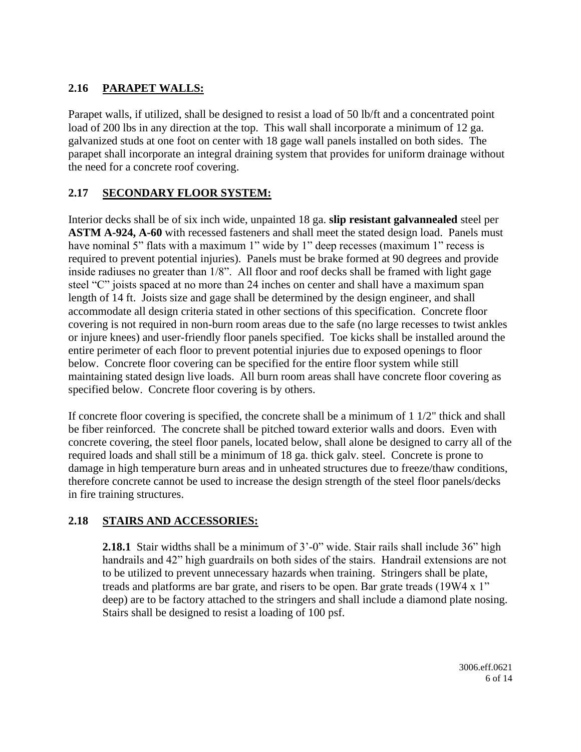# **2.16 PARAPET WALLS:**

Parapet walls, if utilized, shall be designed to resist a load of 50 lb/ft and a concentrated point load of 200 lbs in any direction at the top. This wall shall incorporate a minimum of 12 ga. galvanized studs at one foot on center with 18 gage wall panels installed on both sides. The parapet shall incorporate an integral draining system that provides for uniform drainage without the need for a concrete roof covering.

### **2.17 SECONDARY FLOOR SYSTEM:**

Interior decks shall be of six inch wide, unpainted 18 ga. **slip resistant galvannealed** steel per **ASTM A-924, A-60** with recessed fasteners and shall meet the stated design load. Panels must have nominal 5" flats with a maximum 1" wide by 1" deep recesses (maximum 1" recess is required to prevent potential injuries). Panels must be brake formed at 90 degrees and provide inside radiuses no greater than 1/8". All floor and roof decks shall be framed with light gage steel "C" joists spaced at no more than 24 inches on center and shall have a maximum span length of 14 ft. Joists size and gage shall be determined by the design engineer, and shall accommodate all design criteria stated in other sections of this specification. Concrete floor covering is not required in non-burn room areas due to the safe (no large recesses to twist ankles or injure knees) and user-friendly floor panels specified. Toe kicks shall be installed around the entire perimeter of each floor to prevent potential injuries due to exposed openings to floor below. Concrete floor covering can be specified for the entire floor system while still maintaining stated design live loads. All burn room areas shall have concrete floor covering as specified below. Concrete floor covering is by others.

If concrete floor covering is specified, the concrete shall be a minimum of 1 1/2" thick and shall be fiber reinforced. The concrete shall be pitched toward exterior walls and doors. Even with concrete covering, the steel floor panels, located below, shall alone be designed to carry all of the required loads and shall still be a minimum of 18 ga. thick galv. steel. Concrete is prone to damage in high temperature burn areas and in unheated structures due to freeze/thaw conditions, therefore concrete cannot be used to increase the design strength of the steel floor panels/decks in fire training structures.

### **2.18 STAIRS AND ACCESSORIES:**

**2.18.1** Stair widths shall be a minimum of 3'-0" wide. Stair rails shall include 36" high handrails and 42" high guardrails on both sides of the stairs. Handrail extensions are not to be utilized to prevent unnecessary hazards when training. Stringers shall be plate, treads and platforms are bar grate, and risers to be open. Bar grate treads (19W4 x 1" deep) are to be factory attached to the stringers and shall include a diamond plate nosing. Stairs shall be designed to resist a loading of 100 psf.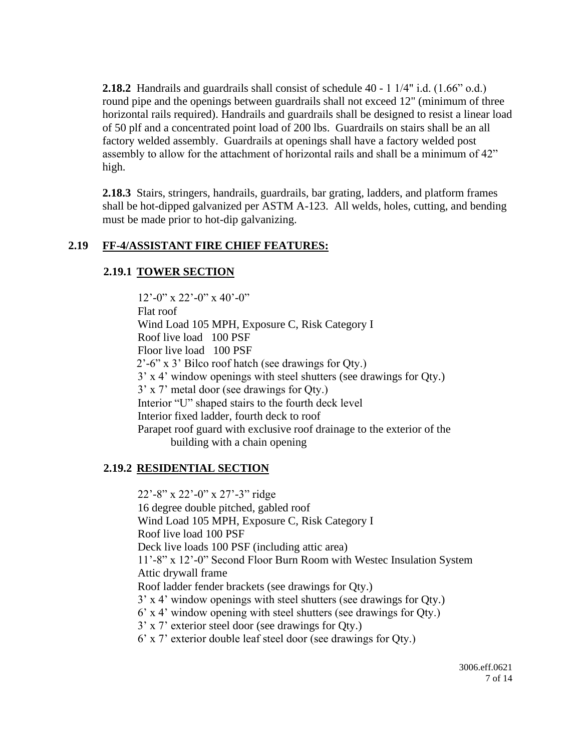**2.18.2** Handrails and guardrails shall consist of schedule 40 - 1 1/4" i.d. (1.66" o.d.) round pipe and the openings between guardrails shall not exceed 12" (minimum of three horizontal rails required). Handrails and guardrails shall be designed to resist a linear load of 50 plf and a concentrated point load of 200 lbs. Guardrails on stairs shall be an all factory welded assembly. Guardrails at openings shall have a factory welded post assembly to allow for the attachment of horizontal rails and shall be a minimum of 42" high.

**2.18.3** Stairs, stringers, handrails, guardrails, bar grating, ladders, and platform frames shall be hot-dipped galvanized per ASTM A-123. All welds, holes, cutting, and bending must be made prior to hot-dip galvanizing.

### **2.19 FF-4/ASSISTANT FIRE CHIEF FEATURES:**

#### **2.19.1 TOWER SECTION**

12'-0" x 22'-0" x 40'-0" Flat roof Wind Load 105 MPH, Exposure C, Risk Category I Roof live load 100 PSF Floor live load 100 PSF 2'-6" x 3' Bilco roof hatch (see drawings for Qty.) 3' x 4' window openings with steel shutters (see drawings for Qty.) 3' x 7' metal door (see drawings for Qty.) Interior "U" shaped stairs to the fourth deck level Interior fixed ladder, fourth deck to roof Parapet roof guard with exclusive roof drainage to the exterior of the building with a chain opening

#### **2.19.2 RESIDENTIAL SECTION**

22'-8" x 22'-0" x 27'-3" ridge 16 degree double pitched, gabled roof Wind Load 105 MPH, Exposure C, Risk Category I Roof live load 100 PSF Deck live loads 100 PSF (including attic area) 11'-8" x 12'-0" Second Floor Burn Room with Westec Insulation System Attic drywall frame Roof ladder fender brackets (see drawings for Qty.) 3' x 4' window openings with steel shutters (see drawings for Qty.) 6' x 4' window opening with steel shutters (see drawings for Qty.) 3' x 7' exterior steel door (see drawings for Qty.) 6' x 7' exterior double leaf steel door (see drawings for Qty.)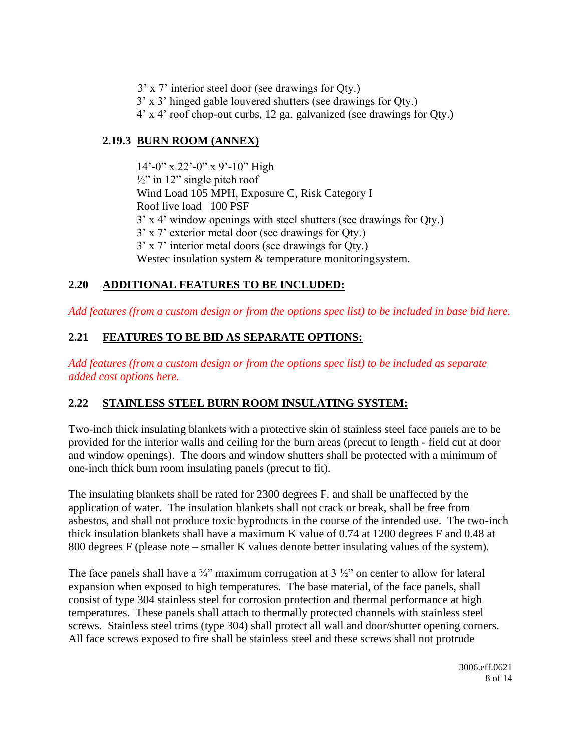- 3' x 7' interior steel door (see drawings for Qty.)
- 3' x 3' hinged gable louvered shutters (see drawings for Qty.)
- 4' x 4' roof chop-out curbs, 12 ga. galvanized (see drawings for Qty.)

#### **2.19.3 BURN ROOM (ANNEX)**

14'-0" x 22'-0" x 9'-10" High  $\frac{1}{2}$ " in 12" single pitch roof Wind Load 105 MPH, Exposure C, Risk Category I Roof live load 100 PSF 3' x 4' window openings with steel shutters (see drawings for Qty.) 3' x 7' exterior metal door (see drawings for Qty.) 3' x 7' interior metal doors (see drawings for Qty.) Westec insulation system & temperature monitoring system.

### **2.20 ADDITIONAL FEATURES TO BE INCLUDED:**

*Add features (from a custom design or from the options spec list) to be included in base bid here.*

# **2.21 FEATURES TO BE BID AS SEPARATE OPTIONS:**

*Add features (from a custom design or from the options spec list) to be included as separate added cost options here.*

### **2.22 STAINLESS STEEL BURN ROOM INSULATING SYSTEM:**

Two-inch thick insulating blankets with a protective skin of stainless steel face panels are to be provided for the interior walls and ceiling for the burn areas (precut to length - field cut at door and window openings). The doors and window shutters shall be protected with a minimum of one-inch thick burn room insulating panels (precut to fit).

The insulating blankets shall be rated for 2300 degrees F. and shall be unaffected by the application of water. The insulation blankets shall not crack or break, shall be free from asbestos, and shall not produce toxic byproducts in the course of the intended use. The two-inch thick insulation blankets shall have a maximum K value of 0.74 at 1200 degrees F and 0.48 at 800 degrees F (please note – smaller K values denote better insulating values of the system).

The face panels shall have a  $\frac{3}{4}$ " maximum corrugation at 3  $\frac{1}{2}$ " on center to allow for lateral expansion when exposed to high temperatures. The base material, of the face panels, shall consist of type 304 stainless steel for corrosion protection and thermal performance at high temperatures. These panels shall attach to thermally protected channels with stainless steel screws. Stainless steel trims (type 304) shall protect all wall and door/shutter opening corners. All face screws exposed to fire shall be stainless steel and these screws shall not protrude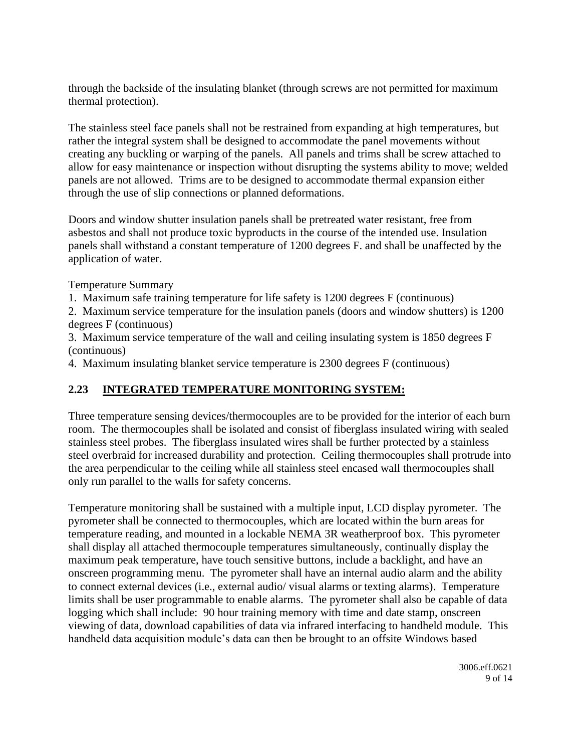through the backside of the insulating blanket (through screws are not permitted for maximum thermal protection).

The stainless steel face panels shall not be restrained from expanding at high temperatures, but rather the integral system shall be designed to accommodate the panel movements without creating any buckling or warping of the panels. All panels and trims shall be screw attached to allow for easy maintenance or inspection without disrupting the systems ability to move; welded panels are not allowed. Trims are to be designed to accommodate thermal expansion either through the use of slip connections or planned deformations.

Doors and window shutter insulation panels shall be pretreated water resistant, free from asbestos and shall not produce toxic byproducts in the course of the intended use. Insulation panels shall withstand a constant temperature of 1200 degrees F. and shall be unaffected by the application of water.

Temperature Summary

1. Maximum safe training temperature for life safety is 1200 degrees F (continuous)

2. Maximum service temperature for the insulation panels (doors and window shutters) is 1200 degrees F (continuous)

3. Maximum service temperature of the wall and ceiling insulating system is 1850 degrees F (continuous)

4. Maximum insulating blanket service temperature is 2300 degrees F (continuous)

# **2.23 INTEGRATED TEMPERATURE MONITORING SYSTEM:**

Three temperature sensing devices/thermocouples are to be provided for the interior of each burn room. The thermocouples shall be isolated and consist of fiberglass insulated wiring with sealed stainless steel probes. The fiberglass insulated wires shall be further protected by a stainless steel overbraid for increased durability and protection. Ceiling thermocouples shall protrude into the area perpendicular to the ceiling while all stainless steel encased wall thermocouples shall only run parallel to the walls for safety concerns.

Temperature monitoring shall be sustained with a multiple input, LCD display pyrometer. The pyrometer shall be connected to thermocouples, which are located within the burn areas for temperature reading, and mounted in a lockable NEMA 3R weatherproof box. This pyrometer shall display all attached thermocouple temperatures simultaneously, continually display the maximum peak temperature, have touch sensitive buttons, include a backlight, and have an onscreen programming menu. The pyrometer shall have an internal audio alarm and the ability to connect external devices (i.e., external audio/ visual alarms or texting alarms). Temperature limits shall be user programmable to enable alarms. The pyrometer shall also be capable of data logging which shall include: 90 hour training memory with time and date stamp, onscreen viewing of data, download capabilities of data via infrared interfacing to handheld module. This handheld data acquisition module's data can then be brought to an offsite Windows based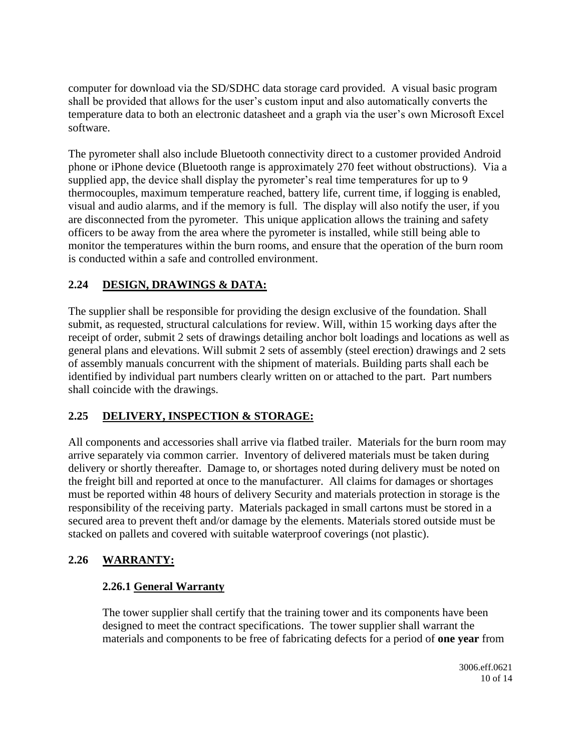computer for download via the SD/SDHC data storage card provided. A visual basic program shall be provided that allows for the user's custom input and also automatically converts the temperature data to both an electronic datasheet and a graph via the user's own Microsoft Excel software.

The pyrometer shall also include Bluetooth connectivity direct to a customer provided Android phone or iPhone device (Bluetooth range is approximately 270 feet without obstructions). Via a supplied app, the device shall display the pyrometer's real time temperatures for up to 9 thermocouples, maximum temperature reached, battery life, current time, if logging is enabled, visual and audio alarms, and if the memory is full. The display will also notify the user, if you are disconnected from the pyrometer. This unique application allows the training and safety officers to be away from the area where the pyrometer is installed, while still being able to monitor the temperatures within the burn rooms, and ensure that the operation of the burn room is conducted within a safe and controlled environment.

# **2.24 DESIGN, DRAWINGS & DATA:**

The supplier shall be responsible for providing the design exclusive of the foundation. Shall submit, as requested, structural calculations for review. Will, within 15 working days after the receipt of order, submit 2 sets of drawings detailing anchor bolt loadings and locations as well as general plans and elevations. Will submit 2 sets of assembly (steel erection) drawings and 2 sets of assembly manuals concurrent with the shipment of materials. Building parts shall each be identified by individual part numbers clearly written on or attached to the part. Part numbers shall coincide with the drawings.

### **2.25 DELIVERY, INSPECTION & STORAGE:**

All components and accessories shall arrive via flatbed trailer. Materials for the burn room may arrive separately via common carrier. Inventory of delivered materials must be taken during delivery or shortly thereafter. Damage to, or shortages noted during delivery must be noted on the freight bill and reported at once to the manufacturer. All claims for damages or shortages must be reported within 48 hours of delivery Security and materials protection in storage is the responsibility of the receiving party. Materials packaged in small cartons must be stored in a secured area to prevent theft and/or damage by the elements. Materials stored outside must be stacked on pallets and covered with suitable waterproof coverings (not plastic).

### **2.26 WARRANTY:**

### **2.26.1 General Warranty**

The tower supplier shall certify that the training tower and its components have been designed to meet the contract specifications. The tower supplier shall warrant the materials and components to be free of fabricating defects for a period of **one year** from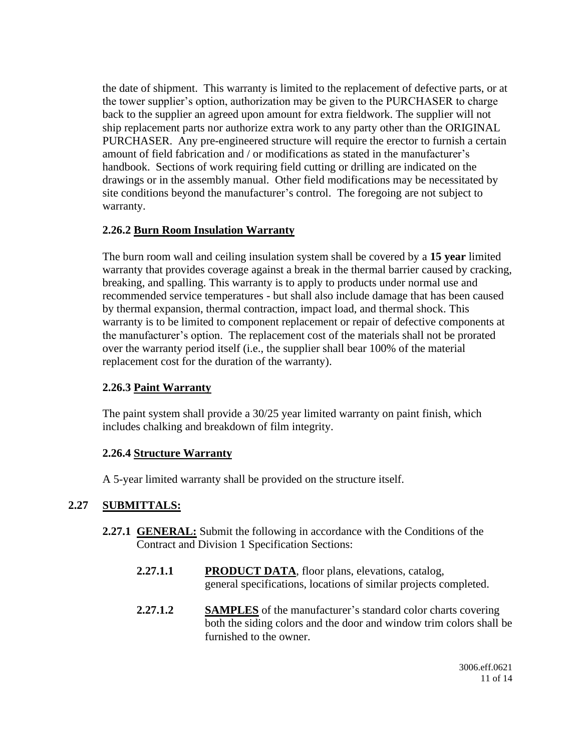the date of shipment. This warranty is limited to the replacement of defective parts, or at the tower supplier's option, authorization may be given to the PURCHASER to charge back to the supplier an agreed upon amount for extra fieldwork. The supplier will not ship replacement parts nor authorize extra work to any party other than the ORIGINAL PURCHASER. Any pre-engineered structure will require the erector to furnish a certain amount of field fabrication and / or modifications as stated in the manufacturer's handbook. Sections of work requiring field cutting or drilling are indicated on the drawings or in the assembly manual. Other field modifications may be necessitated by site conditions beyond the manufacturer's control. The foregoing are not subject to warranty.

#### **2.26.2 Burn Room Insulation Warranty**

The burn room wall and ceiling insulation system shall be covered by a **15 year** limited warranty that provides coverage against a break in the thermal barrier caused by cracking, breaking, and spalling. This warranty is to apply to products under normal use and recommended service temperatures - but shall also include damage that has been caused by thermal expansion, thermal contraction, impact load, and thermal shock. This warranty is to be limited to component replacement or repair of defective components at the manufacturer's option. The replacement cost of the materials shall not be prorated over the warranty period itself (i.e., the supplier shall bear 100% of the material replacement cost for the duration of the warranty).

#### **2.26.3 Paint Warranty**

The paint system shall provide a 30/25 year limited warranty on paint finish, which includes chalking and breakdown of film integrity.

#### **2.26.4 Structure Warranty**

A 5-year limited warranty shall be provided on the structure itself.

#### **2.27 SUBMITTALS:**

- **2.27.1 GENERAL:** Submit the following in accordance with the Conditions of the Contract and Division 1 Specification Sections:
	- **2.27.1.1 PRODUCT DATA**, floor plans, elevations, catalog, general specifications, locations of similar projects completed.
	- **2.27.1.2 SAMPLES** of the manufacturer's standard color charts covering both the siding colors and the door and window trim colors shall be furnished to the owner.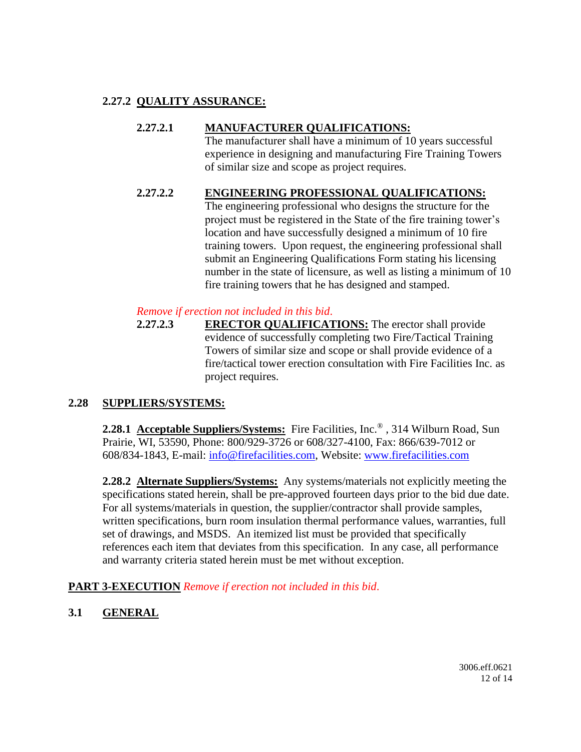### **2.27.2 QUALITY ASSURANCE:**

#### **2.27.2.1 MANUFACTURER QUALIFICATIONS:**

The manufacturer shall have a minimum of 10 years successful experience in designing and manufacturing Fire Training Towers of similar size and scope as project requires.

#### **2.27.2.2 ENGINEERING PROFESSIONAL QUALIFICATIONS:**

The engineering professional who designs the structure for the project must be registered in the State of the fire training tower's location and have successfully designed a minimum of 10 fire training towers. Upon request, the engineering professional shall submit an Engineering Qualifications Form stating his licensing number in the state of licensure, as well as listing a minimum of 10 fire training towers that he has designed and stamped.

#### *Remove if erection not included in this bid*.

**2.27.2.3 ERECTOR QUALIFICATIONS:** The erector shall provide evidence of successfully completing two Fire/Tactical Training Towers of similar size and scope or shall provide evidence of a fire/tactical tower erection consultation with Fire Facilities Inc. as project requires.

#### **2.28 SUPPLIERS/SYSTEMS:**

**2.28.1 Acceptable Suppliers/Systems:** Fire Facilities, Inc.® , 314 Wilburn Road, Sun Prairie, WI, 53590, Phone: 800/929-3726 or 608/327-4100, Fax: 866/639-7012 or 608/834-1843, E-mail: [info@firefacilities.com,](mailto:info@firefacilities.com) Website: [www.firefacilities.com](http://www.firefacilities.com/)

**2.28.2 Alternate Suppliers/Systems:** Any systems/materials not explicitly meeting the specifications stated herein, shall be pre-approved fourteen days prior to the bid due date. For all systems/materials in question, the supplier/contractor shall provide samples, written specifications, burn room insulation thermal performance values, warranties, full set of drawings, and MSDS. An itemized list must be provided that specifically references each item that deviates from this specification. In any case, all performance and warranty criteria stated herein must be met without exception.

**PART 3-EXECUTION** *Remove if erection not included in this bid*.

**3.1 GENERAL**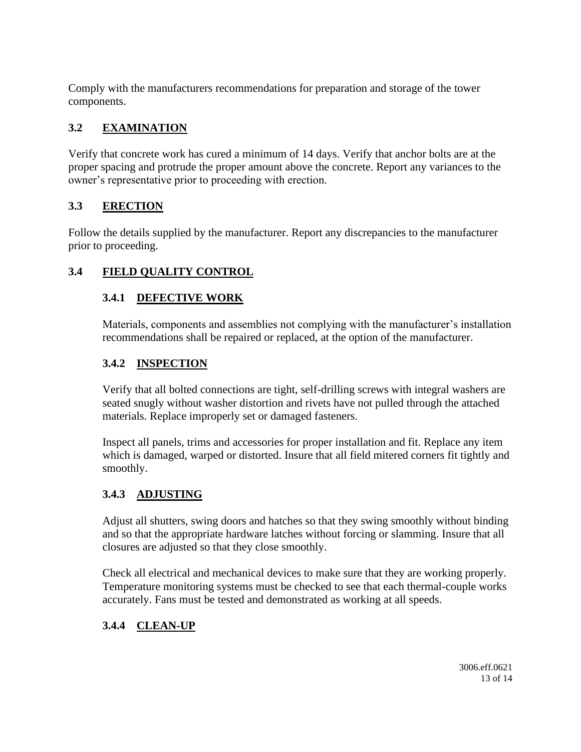Comply with the manufacturers recommendations for preparation and storage of the tower components.

# **3.2 EXAMINATION**

Verify that concrete work has cured a minimum of 14 days. Verify that anchor bolts are at the proper spacing and protrude the proper amount above the concrete. Report any variances to the owner's representative prior to proceeding with erection.

# **3.3 ERECTION**

Follow the details supplied by the manufacturer. Report any discrepancies to the manufacturer prior to proceeding.

# **3.4 FIELD QUALITY CONTROL**

# **3.4.1 DEFECTIVE WORK**

Materials, components and assemblies not complying with the manufacturer's installation recommendations shall be repaired or replaced, at the option of the manufacturer.

# **3.4.2 INSPECTION**

Verify that all bolted connections are tight, self-drilling screws with integral washers are seated snugly without washer distortion and rivets have not pulled through the attached materials. Replace improperly set or damaged fasteners.

Inspect all panels, trims and accessories for proper installation and fit. Replace any item which is damaged, warped or distorted. Insure that all field mitered corners fit tightly and smoothly.

# **3.4.3 ADJUSTING**

Adjust all shutters, swing doors and hatches so that they swing smoothly without binding and so that the appropriate hardware latches without forcing or slamming. Insure that all closures are adjusted so that they close smoothly.

Check all electrical and mechanical devices to make sure that they are working properly. Temperature monitoring systems must be checked to see that each thermal-couple works accurately. Fans must be tested and demonstrated as working at all speeds.

# **3.4.4 CLEAN-UP**